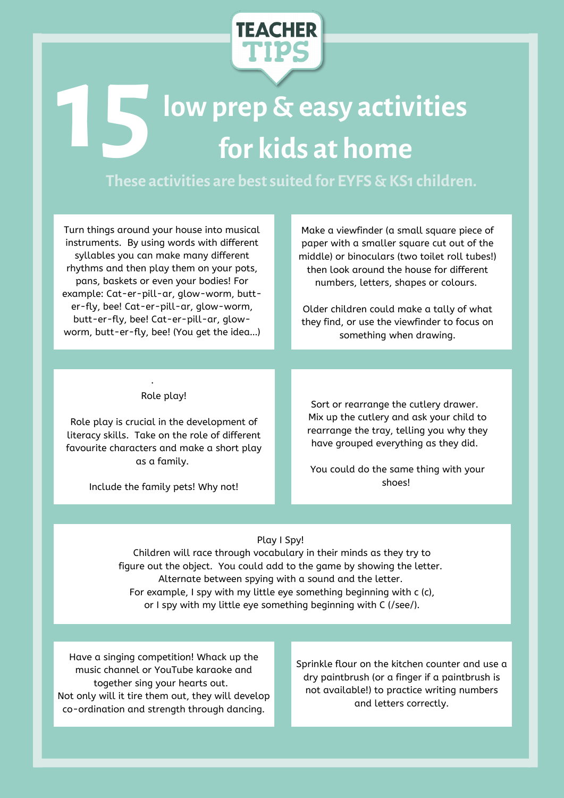

## **lowprep & easy activities 15 box prep & easy activity for kids at home**

**These activities are bestsuited for EYFS & KS1children.**

Turn things around your house into musical instruments. By using words with different syllables you can make many different rhythms and then play them on your pots, pans, baskets or even your bodies! For example: Cat-er-pill-ar, glow-worm, butter-fly, bee! Cat-er-pill-ar, glow-worm, butt-er-fly, bee! Cat-er-pill-ar, glowworm, butt-er-fly, bee! (You get the idea…)

Make a viewfinder (a small square piece of paper with a smaller square cut out of the middle) or binoculars (two toilet roll tubes!) then look around the house for different numbers, letters, shapes or colours.

Older children could make a tally of what they find, or use the viewfinder to focus on something when drawing.

## Role play!

·

Role play is crucial in the development of literacy skills. Take on the role of different favourite characters and make a short play as a family.

Include the family pets! Why not!

Sort or rearrange the cutlery drawer. Mix up the cutlery and ask your child to rearrange the tray, telling you why they have grouped everything as they did.

You could do the same thing with your shoes!

## Play I Spy!

Children will race through vocabulary in their minds as they try to figure out the object. You could add to the game by showing the letter. Alternate between spying with a sound and the letter. For example, I spy with my little eye something beginning with c (c), or I spy with my little eye something beginning with C (/see/).

Have a singing competition! Whack up the music channel or YouTube karaoke and together sing your hearts out. Not only will it tire them out, they will develop co-ordination and strength through dancing.

Sprinkle flour on the kitchen counter and use a dry paintbrush (or a finger if a paintbrush is not available!) to practice writing numbers and letters correctly.